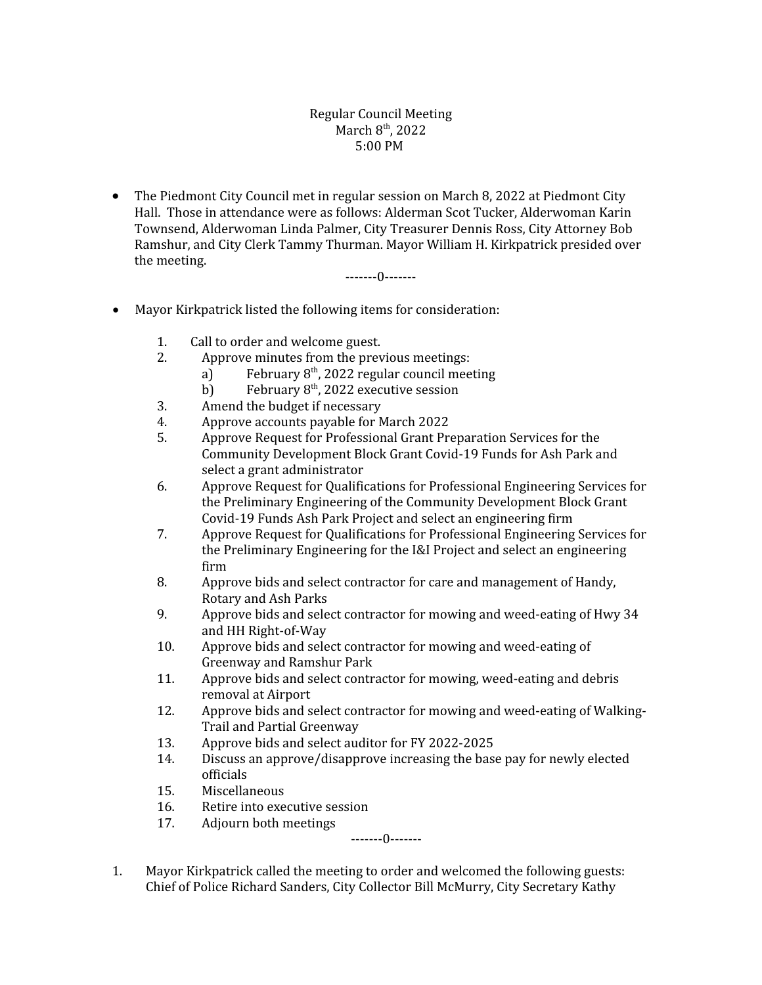## Regular Council Meeting March 8<sup>th</sup>, 2022 5:00 PM

 The Piedmont City Council met in regular session on March 8, 2022 at Piedmont City Hall. Those in attendance were as follows: Alderman Scot Tucker, Alderwoman Karin Townsend, Alderwoman Linda Palmer, City Treasurer Dennis Ross, City Attorney Bob Ramshur, and City Clerk Tammy Thurman. Mayor William H. Kirkpatrick presided over the meeting.

-------0-------

- Mayor Kirkpatrick listed the following items for consideration:
	- 1. Call to order and welcome guest.
	- 2. Approve minutes from the previous meetings:
		- a) February  $8<sup>th</sup>$ , 2022 regular council meeting
		- b) February  $8<sup>th</sup>$ , 2022 executive session
	- 3. Amend the budget if necessary
	- 4. Approve accounts payable for March 2022
	- 5. Approve Request for Professional Grant Preparation Services for the Community Development Block Grant Covid-19 Funds for Ash Park and select a grant administrator
	- 6. Approve Request for Qualifications for Professional Engineering Services for the Preliminary Engineering of the Community Development Block Grant Covid-19 Funds Ash Park Project and select an engineering firm
	- 7. Approve Request for Qualifications for Professional Engineering Services for the Preliminary Engineering for the I&I Project and select an engineering firm
	- 8. Approve bids and select contractor for care and management of Handy, Rotary and Ash Parks
	- 9. Approve bids and select contractor for mowing and weed-eating of Hwy 34 and HH Right-of-Way
	- 10. Approve bids and select contractor for mowing and weed-eating of Greenway and Ramshur Park
	- 11. Approve bids and select contractor for mowing, weed-eating and debris removal at Airport
	- 12. Approve bids and select contractor for mowing and weed-eating of Walking-Trail and Partial Greenway
	- 13. Approve bids and select auditor for FY 2022-2025
	- 14. Discuss an approve/disapprove increasing the base pay for newly elected officials
	- 15. Miscellaneous
	- 16. Retire into executive session
	- 17. Adjourn both meetings

-------0-------

1. Mayor Kirkpatrick called the meeting to order and welcomed the following guests: Chief of Police Richard Sanders, City Collector Bill McMurry, City Secretary Kathy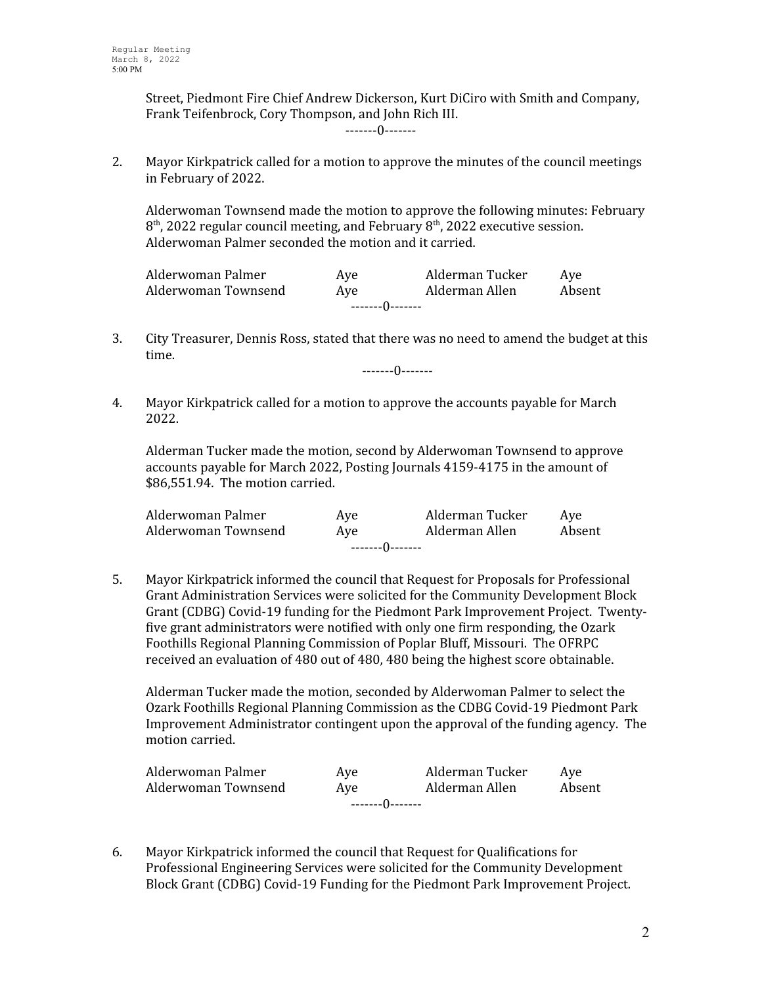Street, Piedmont Fire Chief Andrew Dickerson, Kurt DiCiro with Smith and Company, Frank Teifenbrock, Cory Thompson, and John Rich III.

-------0-------

2. Mayor Kirkpatrick called for a motion to approve the minutes of the council meetings in February of 2022.

Alderwoman Townsend made the motion to approve the following minutes: February  $8<sup>th</sup>$ , 2022 regular council meeting, and February  $8<sup>th</sup>$ , 2022 executive session. Alderwoman Palmer seconded the motion and it carried.

| Alderwoman Palmer   | Ave | Alderman Tucker | Ave    |
|---------------------|-----|-----------------|--------|
| Alderwoman Townsend | Ave | Alderman Allen  | Absent |
| --------()-------   |     |                 |        |

3. City Treasurer, Dennis Ross, stated that there was no need to amend the budget at this time.

-------0-------

4. Mayor Kirkpatrick called for a motion to approve the accounts payable for March 2022.

Alderman Tucker made the motion, second by Alderwoman Townsend to approve accounts payable for March 2022, Posting Journals 4159-4175 in the amount of \$86,551.94. The motion carried.

| Alderwoman Palmer   | Ave | Alderman Tucker | Ave    |
|---------------------|-----|-----------------|--------|
| Alderwoman Townsend | Ave | Alderman Allen  | Absent |
| --------()-------   |     |                 |        |

5. Mayor Kirkpatrick informed the council that Request for Proposals for Professional Grant Administration Services were solicited for the Community Development Block Grant (CDBG) Covid-19 funding for the Piedmont Park Improvement Project. Twentyfive grant administrators were notified with only one firm responding, the Ozark Foothills Regional Planning Commission of Poplar Bluff, Missouri. The OFRPC received an evaluation of 480 out of 480, 480 being the highest score obtainable.

Alderman Tucker made the motion, seconded by Alderwoman Palmer to select the Ozark Foothills Regional Planning Commission as the CDBG Covid-19 Piedmont Park Improvement Administrator contingent upon the approval of the funding agency. The motion carried.

| Alderwoman Palmer   | Ave              | Alderman Tucker | Ave    |
|---------------------|------------------|-----------------|--------|
| Alderwoman Townsend | Ave              | Alderman Allen  | Absent |
|                     | --------0------- |                 |        |

6. Mayor Kirkpatrick informed the council that Request for Qualifications for Professional Engineering Services were solicited for the Community Development Block Grant (CDBG) Covid-19 Funding for the Piedmont Park Improvement Project.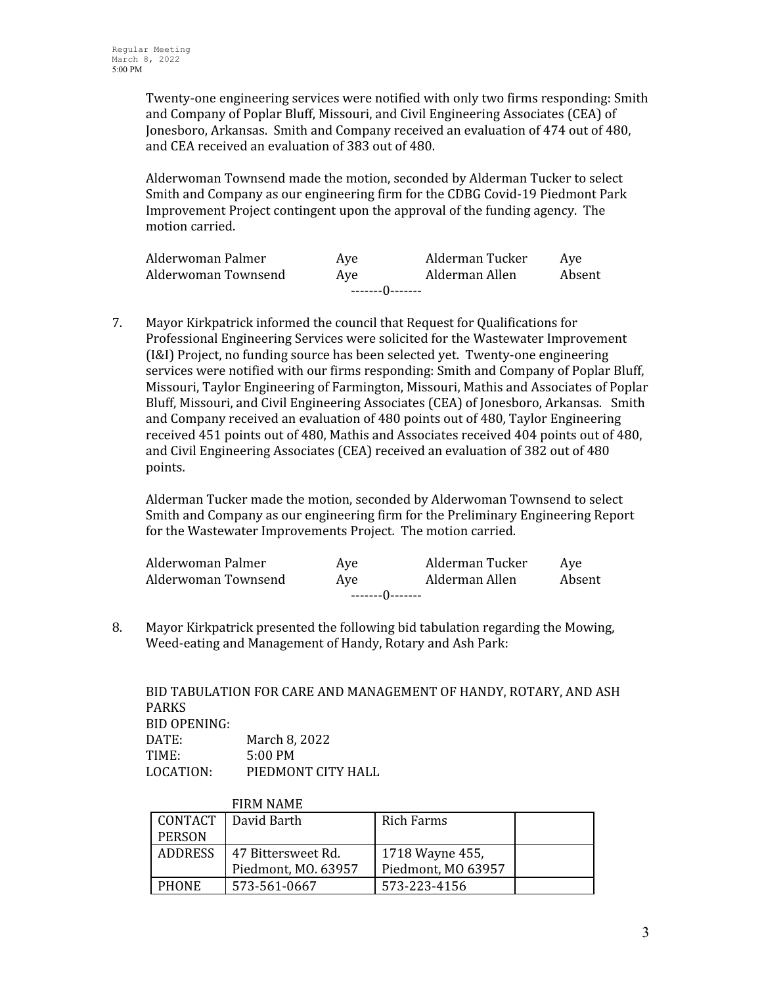Twenty-one engineering services were notified with only two firms responding: Smith and Company of Poplar Bluff, Missouri, and Civil Engineering Associates (CEA) of Jonesboro, Arkansas. Smith and Company received an evaluation of 474 out of 480, and CEA received an evaluation of 383 out of 480.

Alderwoman Townsend made the motion, seconded by Alderman Tucker to select Smith and Company as our engineering firm for the CDBG Covid-19 Piedmont Park Improvement Project contingent upon the approval of the funding agency. The motion carried.

| Alderwoman Palmer   | Ave | Alderman Tucker | Ave    |
|---------------------|-----|-----------------|--------|
| Alderwoman Townsend | Ave | Alderman Allen  | Absent |
| --------0--------   |     |                 |        |

7. Mayor Kirkpatrick informed the council that Request for Qualifications for Professional Engineering Services were solicited for the Wastewater Improvement (I&I) Project, no funding source has been selected yet. Twenty-one engineering services were notified with our firms responding: Smith and Company of Poplar Bluff, Missouri, Taylor Engineering of Farmington, Missouri, Mathis and Associates of Poplar Bluff, Missouri, and Civil Engineering Associates (CEA) of Jonesboro, Arkansas. Smith and Company received an evaluation of 480 points out of 480, Taylor Engineering received 451 points out of 480, Mathis and Associates received 404 points out of 480, and Civil Engineering Associates (CEA) received an evaluation of 382 out of 480 points.

Alderman Tucker made the motion, seconded by Alderwoman Townsend to select Smith and Company as our engineering firm for the Preliminary Engineering Report for the Wastewater Improvements Project. The motion carried.

| Alderwoman Palmer   | Ave | Alderman Tucker | Ave    |
|---------------------|-----|-----------------|--------|
| Alderwoman Townsend | Ave | Alderman Allen  | Absent |
| --------()--------  |     |                 |        |

8. Mayor Kirkpatrick presented the following bid tabulation regarding the Mowing, Weed-eating and Management of Handy, Rotary and Ash Park:

BID TABULATION FOR CARE AND MANAGEMENT OF HANDY, ROTARY, AND ASH PARKS BID OPENING: DATE: March 8, 2022 TIME: 5:00 PM LOCATION: PIEDMONT CITY HALL

|               | <b>FIRM NAME</b>    |                    |  |
|---------------|---------------------|--------------------|--|
| CONTACT       | David Barth         | <b>Rich Farms</b>  |  |
| <b>PERSON</b> |                     |                    |  |
| ADDRESS       | 47 Bittersweet Rd.  | 1718 Wayne 455,    |  |
|               | Piedmont, MO. 63957 | Piedmont, MO 63957 |  |
| <b>PHONE</b>  | 573-561-0667        | 573-223-4156       |  |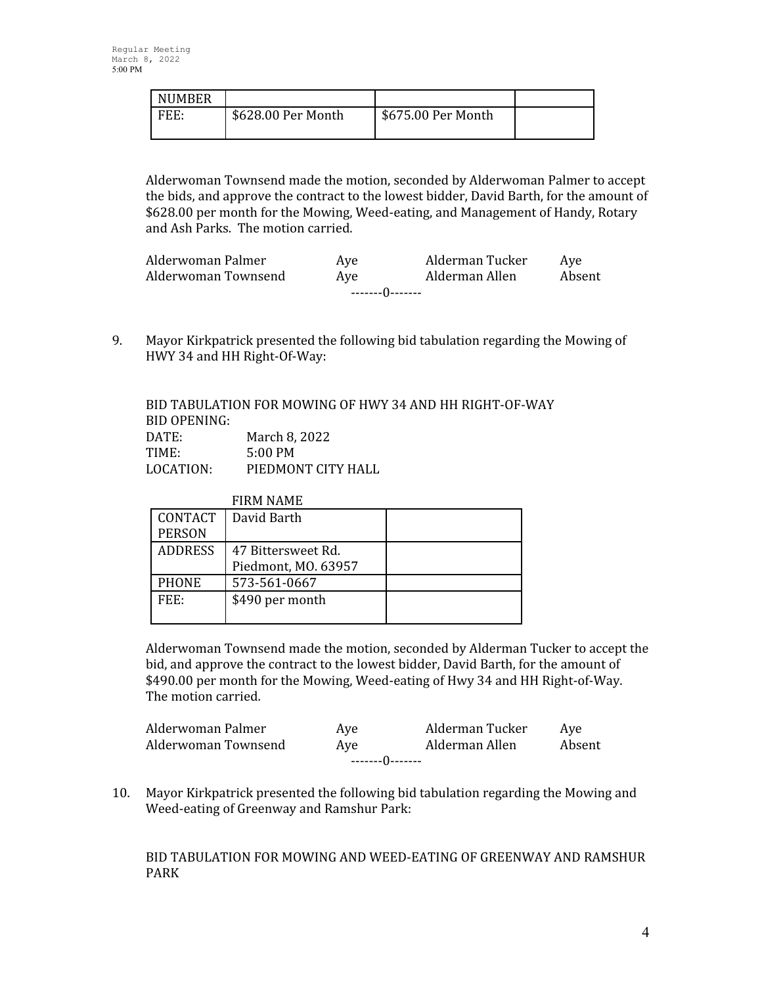| <b>NUMBER</b> |                    |                    |  |
|---------------|--------------------|--------------------|--|
| FFF.          | \$628.00 Per Month | \$675.00 Per Month |  |

Alderwoman Townsend made the motion, seconded by Alderwoman Palmer to accept the bids, and approve the contract to the lowest bidder, David Barth, for the amount of \$628.00 per month for the Mowing, Weed-eating, and Management of Handy, Rotary and Ash Parks. The motion carried.

| Ave               | Alderman Allen | Absent          |  |  |
|-------------------|----------------|-----------------|--|--|
| --------0-------- |                |                 |  |  |
|                   | Ave            | Alderman Tucker |  |  |

9. Mayor Kirkpatrick presented the following bid tabulation regarding the Mowing of HWY 34 and HH Right-Of-Way:

|              | BID TABULATION FOR MOWING OF HWY 34 AND HH RIGHT-OF-WAY |
|--------------|---------------------------------------------------------|
| BID OPENING: |                                                         |
| DATE:        | March 8, 2022                                           |
| TIME:        | $5:00 \text{ PM}$                                       |
| LOCATION:    | PIEDMONT CITY HALL                                      |

|                | <b>FIRM NAME</b>    |  |
|----------------|---------------------|--|
| <b>CONTACT</b> | David Barth         |  |
| <b>PERSON</b>  |                     |  |
| <b>ADDRESS</b> | 47 Bittersweet Rd.  |  |
|                | Piedmont, MO. 63957 |  |
| <b>PHONE</b>   | 573-561-0667        |  |
| FFF:           | \$490 per month     |  |
|                |                     |  |

Alderwoman Townsend made the motion, seconded by Alderman Tucker to accept the bid, and approve the contract to the lowest bidder, David Barth, for the amount of \$490.00 per month for the Mowing, Weed-eating of Hwy 34 and HH Right-of-Way. The motion carried.

| --------()--------  |     |                 |        |
|---------------------|-----|-----------------|--------|
| Alderwoman Townsend | Ave | Alderman Allen  | Absent |
| Alderwoman Palmer   | Ave | Alderman Tucker | Ave    |

10. Mayor Kirkpatrick presented the following bid tabulation regarding the Mowing and Weed-eating of Greenway and Ramshur Park:

BID TABULATION FOR MOWING AND WEED-EATING OF GREENWAY AND RAMSHUR PARK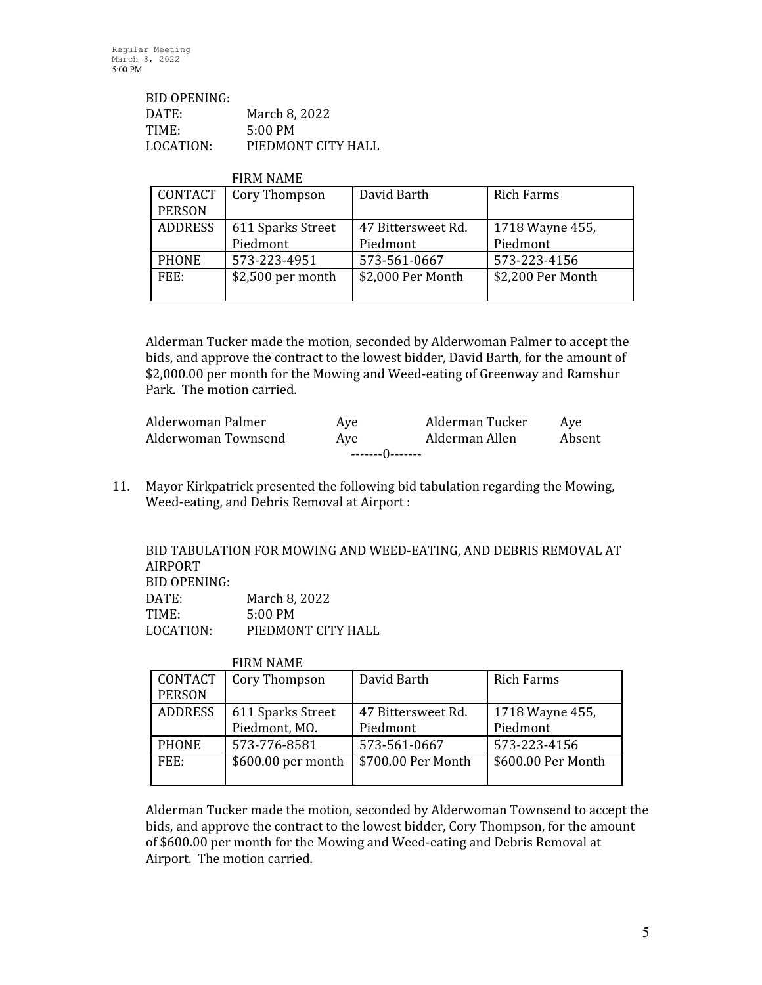| BID OPENING: |                    |
|--------------|--------------------|
| DATE:        | March 8, 2022      |
| TIME:        | $5:00 \text{ PM}$  |
| LOCATION:    | PIEDMONT CITY HALL |

| <b>FIRM NAME</b> |  |
|------------------|--|
|                  |  |

| CONTACT        | Cory Thompson      | David Barth        | <b>Rich Farms</b> |
|----------------|--------------------|--------------------|-------------------|
| <b>PERSON</b>  |                    |                    |                   |
| <b>ADDRESS</b> | 611 Sparks Street  | 47 Bittersweet Rd. | 1718 Wayne 455,   |
|                | Piedmont           | Piedmont           | Piedmont          |
| <b>PHONE</b>   | 573-223-4951       | 573-561-0667       | 573-223-4156      |
| FEE:           | $$2,500$ per month | \$2,000 Per Month  | \$2,200 Per Month |
|                |                    |                    |                   |

Alderman Tucker made the motion, seconded by Alderwoman Palmer to accept the bids, and approve the contract to the lowest bidder, David Barth, for the amount of \$2,000.00 per month for the Mowing and Weed-eating of Greenway and Ramshur Park. The motion carried.

| Alderwoman Palmer   | Ave | Alderman Tucker | Ave    |  |
|---------------------|-----|-----------------|--------|--|
| Alderwoman Townsend | Ave | Alderman Allen  | Absent |  |
| --------()-------   |     |                 |        |  |

11. Mayor Kirkpatrick presented the following bid tabulation regarding the Mowing, Weed-eating, and Debris Removal at Airport :

BID TABULATION FOR MOWING AND WEED-EATING, AND DEBRIS REMOVAL AT AIRPORT BID OPENING: DATE: March 8, 2022 TIME: 5:00 PM LOCATION: PIEDMONT CITY HALL

|                | <b>FINITINAITE</b> |                    |                    |
|----------------|--------------------|--------------------|--------------------|
| CONTACT        | Cory Thompson      | David Barth        | <b>Rich Farms</b>  |
| <b>PERSON</b>  |                    |                    |                    |
| <b>ADDRESS</b> | 611 Sparks Street  | 47 Bittersweet Rd. | 1718 Wayne 455,    |
|                | Piedmont, MO.      | Piedmont           | Piedmont           |
| <b>PHONE</b>   | 573-776-8581       | 573-561-0667       | 573-223-4156       |
| FEE:           | \$600.00 per month | \$700.00 Per Month | \$600.00 Per Month |
|                |                    |                    |                    |

FIRM NAME

Alderman Tucker made the motion, seconded by Alderwoman Townsend to accept the bids, and approve the contract to the lowest bidder, Cory Thompson, for the amount of \$600.00 per month for the Mowing and Weed-eating and Debris Removal at Airport. The motion carried.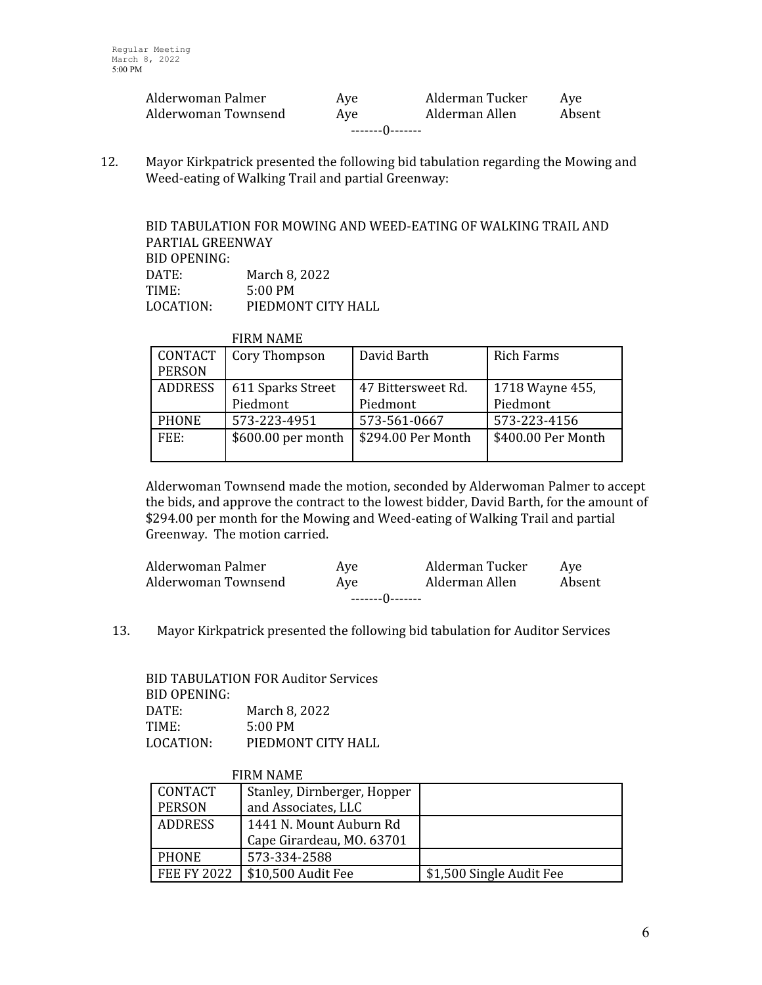| Alderwoman Palmer   | Ave | Alderman Tucker | Ave    |  |
|---------------------|-----|-----------------|--------|--|
| Alderwoman Townsend | Ave | Alderman Allen  | Absent |  |
| --------()-------   |     |                 |        |  |

12. Mayor Kirkpatrick presented the following bid tabulation regarding the Mowing and Weed-eating of Walking Trail and partial Greenway:

BID TABULATION FOR MOWING AND WEED-EATING OF WALKING TRAIL AND PARTIAL GREENWAY BID OPENING: DATE: March 8, 2022 TIME: 5:00 PM LOCATION: PIEDMONT CITY HALL

|  | <b>FIRM NAME</b> |  |
|--|------------------|--|
|--|------------------|--|

| CONTACT        | Cory Thompson      | David Barth        | Rich Farms         |
|----------------|--------------------|--------------------|--------------------|
| <b>PERSON</b>  |                    |                    |                    |
| <b>ADDRESS</b> | 611 Sparks Street  | 47 Bittersweet Rd. | 1718 Wayne 455,    |
|                | Piedmont           | Piedmont           | Piedmont           |
| <b>PHONE</b>   | 573-223-4951       | 573-561-0667       | 573-223-4156       |
| FEE:           | \$600.00 per month | \$294.00 Per Month | \$400.00 Per Month |
|                |                    |                    |                    |

Alderwoman Townsend made the motion, seconded by Alderwoman Palmer to accept the bids, and approve the contract to the lowest bidder, David Barth, for the amount of \$294.00 per month for the Mowing and Weed-eating of Walking Trail and partial Greenway. The motion carried.

| Alderwoman Palmer   | Ave | Alderman Tucker | Ave    |  |
|---------------------|-----|-----------------|--------|--|
| Alderwoman Townsend | Ave | Alderman Allen  | Absent |  |
| --------0-------    |     |                 |        |  |

13. Mayor Kirkpatrick presented the following bid tabulation for Auditor Services

BID TABULATION FOR Auditor Services BID OPENING: DATE: March 8, 2022 TIME: 5:00 PM LOCATION: PIEDMONT CITY HALL

|                    | <b>FIRM NAME</b>            |                          |
|--------------------|-----------------------------|--------------------------|
| CONTACT            | Stanley, Dirnberger, Hopper |                          |
| <b>PERSON</b>      | and Associates, LLC         |                          |
| ADDRESS            | 1441 N. Mount Auburn Rd     |                          |
|                    | Cape Girardeau, MO. 63701   |                          |
| <b>PHONE</b>       | 573-334-2588                |                          |
| <b>FEE FY 2022</b> | \$10,500 Audit Fee          | \$1,500 Single Audit Fee |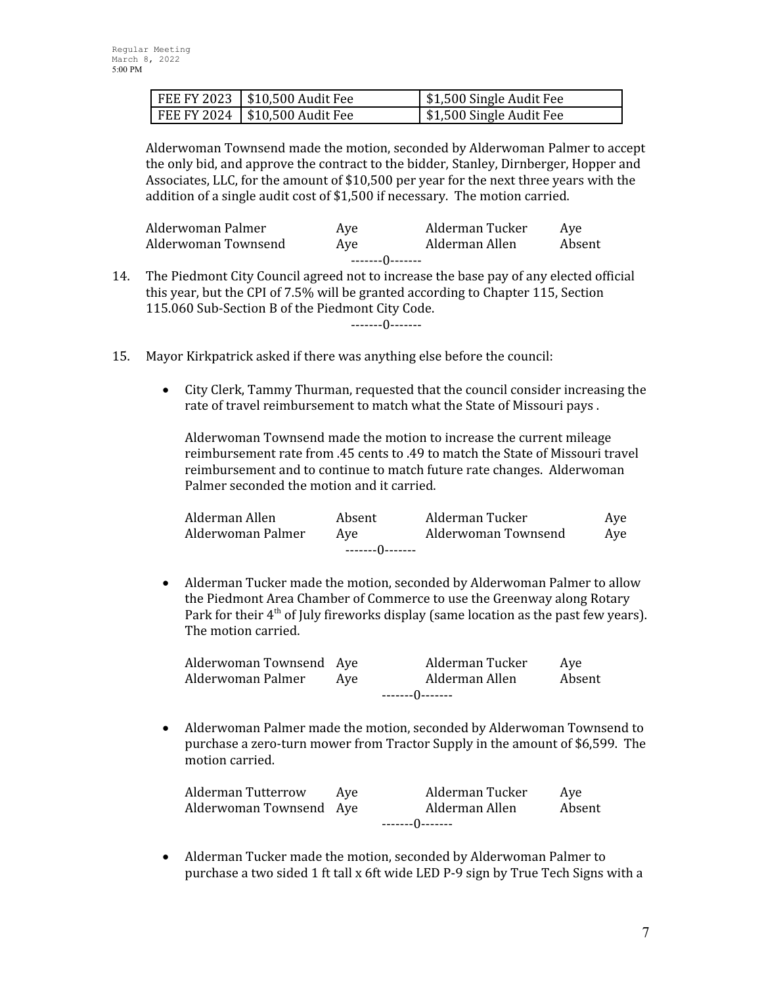| FEE FY 2023   \$10,500 Audit Fee | \$1,500 Single Audit Fee |
|----------------------------------|--------------------------|
| FEE FY 2024   \$10,500 Audit Fee | \$1,500 Single Audit Fee |

Alderwoman Townsend made the motion, seconded by Alderwoman Palmer to accept the only bid, and approve the contract to the bidder, Stanley, Dirnberger, Hopper and Associates, LLC, for the amount of \$10,500 per year for the next three years with the addition of a single audit cost of \$1,500 if necessary. The motion carried.

| Alderwoman Palmer   | Ave | Alderman Tucker | Ave    |  |
|---------------------|-----|-----------------|--------|--|
| Alderwoman Townsend | Ave | Alderman Allen  | Absent |  |
| --------0--------   |     |                 |        |  |

14. The Piedmont City Council agreed not to increase the base pay of any elected official this year, but the CPI of 7.5% will be granted according to Chapter 115, Section 115.060 Sub-Section B of the Piedmont City Code.

-------0-------

- 15. Mayor Kirkpatrick asked if there was anything else before the council:
	- City Clerk, Tammy Thurman, requested that the council consider increasing the rate of travel reimbursement to match what the State of Missouri pays .

Alderwoman Townsend made the motion to increase the current mileage reimbursement rate from .45 cents to .49 to match the State of Missouri travel reimbursement and to continue to match future rate changes. Alderwoman Palmer seconded the motion and it carried.

| Alderman Allen    | Absent            | Alderman Tucker     | Aye |
|-------------------|-------------------|---------------------|-----|
| Alderwoman Palmer | Ave               | Alderwoman Townsend | Ave |
|                   | --------()------- |                     |     |

 Alderman Tucker made the motion, seconded by Alderwoman Palmer to allow the Piedmont Area Chamber of Commerce to use the Greenway along Rotary Park for their  $4<sup>th</sup>$  of July fireworks display (same location as the past few years). The motion carried.

|                         | --------()------- |                 |        |  |
|-------------------------|-------------------|-----------------|--------|--|
| Alderwoman Palmer       | Ave               | Alderman Allen  | Absent |  |
| Alderwoman Townsend Aye |                   | Alderman Tucker | Ave    |  |

 Alderwoman Palmer made the motion, seconded by Alderwoman Townsend to purchase a zero-turn mower from Tractor Supply in the amount of \$6,599. The motion carried.

| <b>Alderman Tutterrow</b> | Ave | Alderman Tucker | Ave    |
|---------------------------|-----|-----------------|--------|
| Alderwoman Townsend Aye   |     | Alderman Allen  | Absent |
| --------()-------         |     |                 |        |

 Alderman Tucker made the motion, seconded by Alderwoman Palmer to purchase a two sided 1 ft tall x 6ft wide LED P-9 sign by True Tech Signs with a